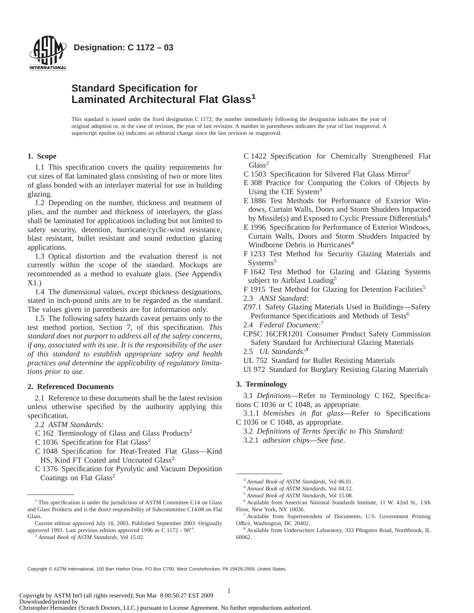

# **Standard Specification for Laminated Architectural Flat Glass<sup>1</sup>**

This standard is issued under the fixed designation C 1172; the number immediately following the designation indicates the year of original adoption or, in the case of revision, the year of last revision. A number in parentheses indicates the year of last reapproval. A superscript epsilon  $(\epsilon)$  indicates an editorial change since the last revision or reapproval.

# **1. Scope**

1.1 This specification covers the quality requirements for cut sizes of flat laminated glass consisting of two or more lites of glass bonded with an interlayer material for use in building glazing.

1.2 Depending on the number, thickness and treatment of plies, and the number and thickness of interlayers, the glass shall be laminated for applications including but not limited to safety security, detention, hurricane/cyclic-wind resistance, blast resistant, bullet resistant and sound reduction glazing applications.

1.3 Optical distortion and the evaluation thereof is not currently within the scope of the standard. Mockups are recommended as a method to evaluate glass. (See Appendix X1.)

1.4 The dimensional values, except thickness designations, stated in inch-pound units are to be regarded as the standard. The values given in parenthesis are for information only.

1.5 The following safety hazards caveat pertains only to the test method portion, Section 7, of this specification. *This standard does not purport to address all of the safety concerns, if any, associated with its use. It is the responsibility of the user of this standard to establish appropriate safety and health practices and determine the applicability of regulatory limitations prior to use.*

#### **2. Referenced Documents**

2.1 Reference to these documents shall be the latest revision unless otherwise specified by the authority applying this specification.

2.2 *ASTM Standards:*

- C 162 Terminology of Glass and Glass Products<sup>2</sup>
- C 1036 Specification for Flat Glass<sup>2</sup>
- C 1048 Specification for Heat-Treated Flat Glass—Kind HS, Kind FT Coated and Uncoated Glass<sup>2</sup>
- C 1376 Specification for Pyrolytic and Vacuum Deposition Coatings on Flat Glass<sup>2</sup>
- C 1422 Specification for Chemically Strengthened Flat  $Glass<sup>2</sup>$
- C 1503 Specification for Silvered Flat Glass Mirror2
- E 308 Practice for Computing the Colors of Objects by Using the CIE System<sup>3</sup>
- E 1886 Test Methods for Performance of Exterior Windows, Curtain Walls, Doors and Storm Shudders Impacted by Missile(s) and Exposed to Cyclic Pressure Differentials<sup>4</sup>
- E 1996 Specification for Performance of Exterior Windows, Curtain Walls, Doors and Storm Shudders Impacted by Windborne Debris in Hurricanes<sup>4</sup>
- F 1233 Test Method for Security Glazing Materials and Systems<sup>5</sup>
- F 1642 Test Method for Glazing and Glazing Systems subject to Airblast Loading<sup>5</sup>
- F 1915 Test Method for Glazing for Detention Facilities<sup>5</sup> 2.3 *ANSI Standard:*
- Z97.1 Safety Glazing Materials Used in Buildings—Safety Performance Specifications and Methods of Tests<sup>6</sup>
- 2.4 *Federal Document:7*
- CPSC 16CFR1201 Consumer Product Safety Commission Safety Standard for Architectural Glazing Materials
- 2.5 *UL Standards:8*
- UL 752 Standard for Bullet Resisting Materials
- Ul 972 Standard for Burglary Resisting Glazing Materials

## **3. Terminology**

3.1 *Definitions*—Refer to Terminology C 162, Specifications C 1036 or C 1048, as appropriate.

3.1.1 *blemishes in flat glass*—Refer to Specifications C 1036 or C 1048, as appropriate.

- 3.2 *Definitions of Terms Specific to This Standard:*
- 3.2.1 *adhesion chips*—See *fuse*.

Copyright © ASTM International, 100 Barr Harbor Drive, PO Box C700, West Conshohocken, PA 19428-2959, United States.

<sup>&</sup>lt;sup>1</sup> This specification is under the jurisdiction of ASTM Committee C14 on Glass and Glass Products and is the direct responsibility of Subcommittee C14.08 on Flat Glass.

Current edition approved July 10, 2003. Published September 2003. Originally approved 1991. Last previous edition approved 1996 as  $\overline{C}$  1172 – 96<sup> $\epsilon$ 1</sup>.

<sup>2</sup> *Annual Book of ASTM Standards*, Vol 15.02.

<sup>3</sup> *Annual Book of ASTM Standards*, Vol 06.01.

<sup>4</sup> *Annual Book of ASTM Standards*, Vol 04.12.

<sup>5</sup> *Annual Book of ASTM Standards*, Vol 15.08.

<sup>6</sup> Available from American National Standards Institute, 11 W. 42nd St., 13th Floor, New York, NY 10036.

<sup>7</sup> Available from Superintendent of Documents, U.S. Government Printing Office, Washington, DC 20402.

<sup>8</sup> Available from Underwriters Laboratory, 333 Pfingsten Road, Northbrook, IL 60062.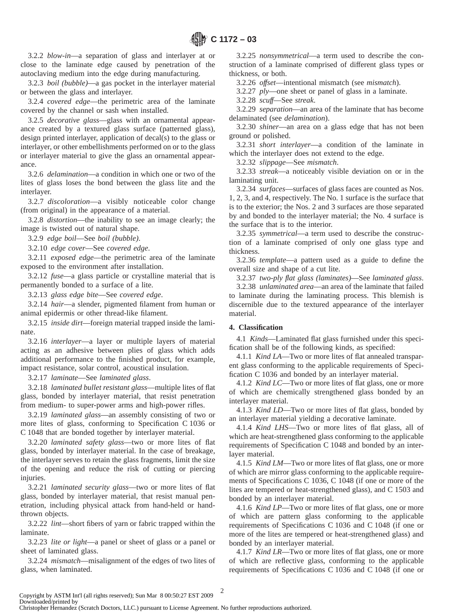3.2.2 *blow-in*—a separation of glass and interlayer at or close to the laminate edge caused by penetration of the autoclaving medium into the edge during manufacturing.

3.2.3 *boil (bubble)*—a gas pocket in the interlayer material or between the glass and interlayer.

3.2.4 *covered edge*—the perimetric area of the laminate covered by the channel or sash when installed.

3.2.5 *decorative glass*—glass with an ornamental appearance created by a textured glass surface (patterned glass), design printed interlayer, application of decal(s) to the glass or interlayer, or other embellishments performed on or to the glass or interlayer material to give the glass an ornamental appearance.

3.2.6 *delamination*—a condition in which one or two of the lites of glass loses the bond between the glass lite and the interlayer.

3.2.7 *discoloration*—a visibly noticeable color change (from original) in the appearance of a material.

3.2.8 *distortion*—the inability to see an image clearly; the image is twisted out of natural shape.

3.2.9 *edge boil*—See *boil (bubble)*.

3.2.10 *edge cover*—See *covered edge*.

3.2.11 *exposed edge*—the perimetric area of the laminate exposed to the environment after installation.

3.2.12 *fuse*—a glass particle or crystalline material that is permanently bonded to a surface of a lite.

3.2.13 *glass edge bite*—See *covered edge*.

3.2.14 *hair*—a slender, pigmented filament from human or animal epidermis or other thread-like filament.

3.2.15 *inside dirt*—foreign material trapped inside the laminate.

3.2.16 *interlayer*—a layer or multiple layers of material acting as an adhesive between plies of glass which adds additional performance to the finished product, for example, impact resistance, solar control, acoustical insulation.

3.2.17 *laminate*—See *laminated glass*.

3.2.18 *laminated bullet resistant glass*—multiple lites of flat glass, bonded by interlayer material, that resist penetration from medium- to super-power arms and high-power rifles.

3.2.19 *laminated glass*—an assembly consisting of two or more lites of glass, conforming to Specification C 1036 or C 1048 that are bonded together by interlayer material.

3.2.20 *laminated safety glass*—two or more lites of flat glass, bonded by interlayer material. In the case of breakage, the interlayer serves to retain the glass fragments, limit the size of the opening and reduce the risk of cutting or piercing injuries.

3.2.21 *laminated security glass*—two or more lites of flat glass, bonded by interlayer material, that resist manual penetration, including physical attack from hand-held or handthrown objects.

3.2.22 *lint*—short fibers of yarn or fabric trapped within the laminate.

3.2.23 *lite or light*—a panel or sheet of glass or a panel or sheet of laminated glass.

3.2.24 *mismatch*—misalignment of the edges of two lites of glass, when laminated.

3.2.25 *nonsymmetrical*—a term used to describe the construction of a laminate comprised of different glass types or thickness, or both.

3.2.26 *offset*—intentional mismatch (see *mismatch*).

3.2.27 *ply*—one sheet or panel of glass in a laminate.

3.2.28 *scuff*—See *streak*.

3.2.29 *separation*—an area of the laminate that has become delaminated (see *delamination*).

3.2.30 *shiner*—an area on a glass edge that has not been ground or polished.

3.2.31 *short interlayer*—a condition of the laminate in which the interlayer does not extend to the edge.

3.2.32 *slippage*—See *mismatch*.

3.2.33 *streak*—a noticeably visible deviation on or in the laminating unit.

3.2.34 *surfaces*—surfaces of glass faces are counted as Nos. 1, 2, 3, and 4, respectively. The No. 1 surface is the surface that is to the exterior; the Nos. 2 and 3 surfaces are those separated by and bonded to the interlayer material; the No. 4 surface is the surface that is to the interior.

3.2.35 *symmetrical*—a term used to describe the construction of a laminate comprised of only one glass type and thickness.

3.2.36 *template*—a pattern used as a guide to define the overall size and shape of a cut lite.

3.2.37 *two-ply flat glass (laminates)*—See *laminated glass*.

3.2.38 *unlaminated area*—an area of the laminate that failed to laminate during the laminating process. This blemish is discernible due to the textured appearance of the interlayer material.

# **4. Classification**

4.1 *Kinds*—Laminated flat glass furnished under this specification shall be of the following kinds, as specified:

4.1.1 *Kind LA*—Two or more lites of flat annealed transparent glass conforming to the applicable requirements of Specification C 1036 and bonded by an interlayer material.

4.1.2 *Kind LC*—Two or more lites of flat glass, one or more of which are chemically strengthened glass bonded by an interlayer material.

4.1.3 *Kind LD*—Two or more lites of flat glass, bonded by an interlayer material yielding a decorative laminate.

4.1.4 *Kind LHS*—Two or more lites of flat glass, all of which are heat-strengthened glass conforming to the applicable requirements of Specification C 1048 and bonded by an interlayer material.

4.1.5 *Kind LM*—Two or more lites of flat glass, one or more of which are mirror glass conforming to the applicable requirements of Specifications C 1036, C 1048 (if one or more of the lites are tempered or heat-strengthened glass), and C 1503 and bonded by an interlayer material.

4.1.6 *Kind LP*—Two or more lites of flat glass, one or more of which are pattern glass conforming to the applicable requirements of Specifications C 1036 and C 1048 (if one or more of the lites are tempered or heat-strengthened glass) and bonded by an interlayer material.

4.1.7 *Kind LR*—Two or more lites of flat glass, one or more of which are reflective glass, conforming to the applicable requirements of Specifications C 1036 and C 1048 (if one or

Copyright by ASTM Int'l (all rights reserved); Sun Mar 8 00:50:27 EST 2009 Downloaded/printed by

Christopher Hernandez (Scratch Doctors, LLC.) pursuant to License Agreement. No further reproductions authorized.

2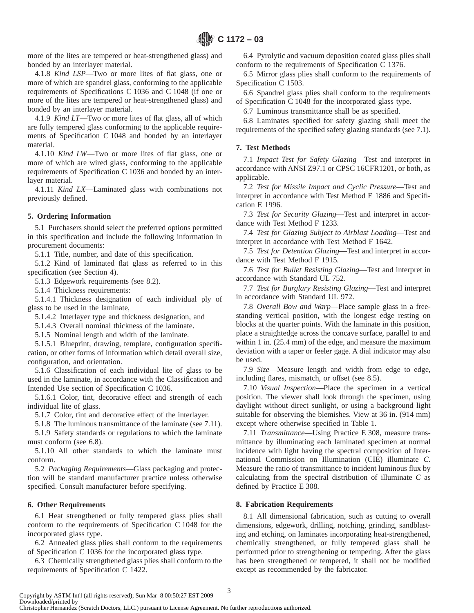more of the lites are tempered or heat-strengthened glass) and bonded by an interlayer material.

4.1.8 *Kind LSP*—Two or more lites of flat glass, one or more of which are spandrel glass, conforming to the applicable requirements of Specifications C 1036 and C 1048 (if one or more of the lites are tempered or heat-strengthened glass) and bonded by an interlayer material.

4.1.9 *Kind LT*—Two or more lites of flat glass, all of which are fully tempered glass conforming to the applicable requirements of Specification C 1048 and bonded by an interlayer material.

4.1.10 *Kind LW*—Two or more lites of flat glass, one or more of which are wired glass, conforming to the applicable requirements of Specification C 1036 and bonded by an interlayer material.

4.1.11 *Kind LX*—Laminated glass with combinations not previously defined.

## **5. Ordering Information**

5.1 Purchasers should select the preferred options permitted in this specification and include the following information in procurement documents:

5.1.1 Title, number, and date of this specification.

5.1.2 Kind of laminated flat glass as referred to in this specification (see Section 4).

5.1.3 Edgework requirements (see 8.2).

5.1.4 Thickness requirements:

5.1.4.1 Thickness designation of each individual ply of glass to be used in the laminate,

5.1.4.2 Interlayer type and thickness designation, and

5.1.4.3 Overall nominal thickness of the laminate.

5.1.5 Nominal length and width of the laminate.

5.1.5.1 Blueprint, drawing, template, configuration specification, or other forms of information which detail overall size, configuration, and orientation.

5.1.6 Classification of each individual lite of glass to be used in the laminate, in accordance with the Classification and Intended Use section of Specification C 1036.

5.1.6.1 Color, tint, decorative effect and strength of each individual lite of glass.

5.1.7 Color, tint and decorative effect of the interlayer.

5.1.8 The luminous transmittance of the laminate (see 7.11).

5.1.9 Safety standards or regulations to which the laminate must conform (see 6.8).

5.1.10 All other standards to which the laminate must conform.

5.2 *Packaging Requirements*—Glass packaging and protection will be standard manufacturer practice unless otherwise specified. Consult manufacturer before specifying.

# **6. Other Requirements**

6.1 Heat strengthened or fully tempered glass plies shall conform to the requirements of Specification C 1048 for the incorporated glass type.

6.2 Annealed glass plies shall conform to the requirements of Specification C 1036 for the incorporated glass type.

6.3 Chemically strengthened glass plies shall conform to the requirements of Specification C 1422.

6.4 Pyrolytic and vacuum deposition coated glass plies shall conform to the requirements of Specification C 1376.

6.5 Mirror glass plies shall conform to the requirements of Specification C 1503.

6.6 Spandrel glass plies shall conform to the requirements of Specification C 1048 for the incorporated glass type.

6.7 Luminous transmittance shall be as specified.

6.8 Laminates specified for safety glazing shall meet the requirements of the specified safety glazing standards (see 7.1).

#### **7. Test Methods**

7.1 *Impact Test for Safety Glazing*—Test and interpret in accordance with ANSI Z97.1 or CPSC 16CFR1201, or both, as applicable.

7.2 *Test for Missile Impact and Cyclic Pressure*—Test and interpret in accordance with Test Method E 1886 and Specification E 1996.

7.3 *Test for Security Glazing*—Test and interpret in accordance with Test Method F 1233.

7.4 *Test for Glazing Subject to Airblast Loading*—Test and interpret in accordance with Test Method F 1642.

7.5 *Test for Detention Glazing*—Test and interpret in accordance with Test Method F 1915.

7.6 *Test for Bullet Resisting Glazing*—Test and interpret in accordance with Standard UL 752.

7.7 *Test for Burglary Resisting Glazing*—Test and interpret in accordance with Standard UL 972.

7.8 *Overall Bow and Warp*—Place sample glass in a freestanding vertical position, with the longest edge resting on blocks at the quarter points. With the laminate in this position, place a straightedge across the concave surface, parallel to and within 1 in.  $(25.4 \text{ mm})$  of the edge, and measure the maximum deviation with a taper or feeler gage. A dial indicator may also be used.

7.9 *Size*—Measure length and width from edge to edge, including flares, mismatch, or offset (see 8.5).

7.10 *Visual Inspection*—Place the specimen in a vertical position. The viewer shall look through the specimen, using daylight without direct sunlight, or using a background light suitable for observing the blemishes. View at 36 in. (914 mm) except where otherwise specified in Table 1.

7.11 *Transmittance*—Using Practice E 308, measure transmittance by illuminating each laminated specimen at normal incidence with light having the spectral composition of International Commission on Illumination (CIE) illuminate *C*. Measure the ratio of transmittance to incident luminous flux by calculating from the spectral distribution of illuminate *C* as defined by Practice E 308.

# **8. Fabrication Requirements**

8.1 All dimensional fabrication, such as cutting to overall dimensions, edgework, drilling, notching, grinding, sandblasting and etching, on laminates incorporating heat-strengthened, chemically strengthened, or fully tempered glass shall be performed prior to strengthening or tempering. After the glass has been strengthened or tempered, it shall not be modified except as recommended by the fabricator.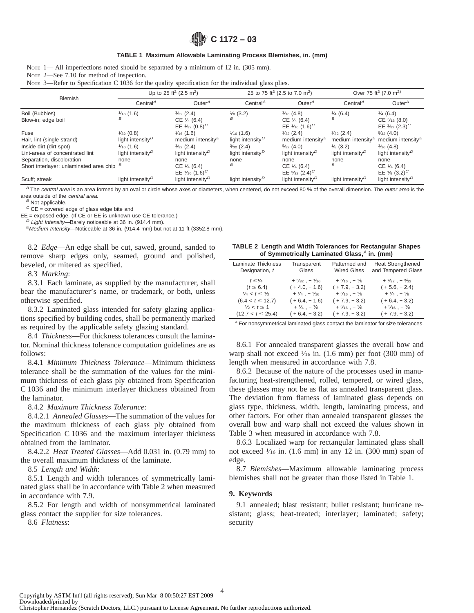**C 1172 – 03**

#### **TABLE 1 Maximum Allowable Laminating Process Blemishes, in. (mm)**

NOTE 2—See 7.10 for method of inspection.

Note 3—Refer to Specification C 1036 for the quality specification for the individual glass plies.

| <b>Blemish</b>                          | Up to 25 ft <sup>2</sup> (2.5 m <sup>2</sup> ) |                                           | 25 to 75 ft <sup>2</sup> (2.5 to 7.0 m <sup>2</sup> ) |                                           | Over 75 ft <sup>2</sup> (7.0 m <sup>2)</sup> |                                           |
|-----------------------------------------|------------------------------------------------|-------------------------------------------|-------------------------------------------------------|-------------------------------------------|----------------------------------------------|-------------------------------------------|
|                                         | Central <sup><math>A</math></sup>              | Outer $A$                                 | Central <sup><math>A</math></sup>                     | Outer $^A$                                | Central <sup>A</sup>                         | Outer $^A$                                |
| Boil (Bubbles)                          | $\frac{1}{6}$ (1.6)                            | $\frac{3}{32}$ (2.4)                      | $\frac{1}{8}$ (3.2)                                   | $\frac{3}{16}$ (4.8)                      | $\frac{1}{4}$ (6.4)                          | $\frac{1}{4}$ (6.4)                       |
| Blow-in; edge boil                      | в                                              | CE 1/4 (6.4)                              | B                                                     | $CE \frac{1}{4} (6.4)$                    | B                                            | $CE\frac{5}{16}(8.0)$                     |
|                                         |                                                | EE $\frac{1}{32}$ (0.8) <sup>C</sup>      |                                                       | EE $1/16$ (1.6) <sup>C</sup>              |                                              | EE $\frac{3}{32}$ (2.3) <sup>C</sup>      |
| Fuse                                    | $\frac{1}{32}$ (0.8)                           | $\frac{1}{16}$ (1.6)                      | $\frac{1}{16}$ (1.6)                                  | $\frac{3}{32}$ (2.4)                      | $\frac{3}{32}$ (2.4)                         | $\frac{5}{32}(4.0)$                       |
| Hair, lint (single strand)              | light intensity <sup><math>D</math></sup>      | medium intensity $\epsilon$               | light intensity <sup><math>D</math></sup>             | medium intensity $\epsilon$               | medium intensity $\epsilon$                  | medium intensity $\epsilon$               |
| Inside dirt (dirt spot)                 | $\frac{1}{16}$ (1.6)                           | $\frac{3}{32}$ (2.4)                      | $\frac{3}{32}$ (2.4)                                  | $\frac{5}{32}(4.0)$                       | $\frac{1}{8}$ (3.2)                          | $\frac{3}{16}$ (4.8)                      |
| Lint-areas of concentrated lint         | light intensity <sup><math>D</math></sup>      | light intensity <sup><math>D</math></sup> | light intensity <sup><math>D</math></sup>             | light intensity <sup><math>D</math></sup> | light intensity <sup><math>D</math></sup>    | light intensity <sup>D</sup>              |
| Separation, discoloration               | none                                           | none                                      | none                                                  | none                                      | none                                         | none                                      |
| Short interlayer; unlaminated area chip | в                                              | CE 1/4 (6.4)                              | B                                                     | $CE \frac{1}{4} (6.4)$                    | в                                            | $CE \frac{1}{4} (6.4)$                    |
|                                         |                                                | EE $1/16$ (1.6) <sup>C</sup>              |                                                       | EE $\frac{3}{32}$ (2.4) <sup>C</sup>      |                                              | EE $\frac{1}{8}$ (3.2) <sup>C</sup>       |
| Scuff; streak                           | light intensity <sup><math>D</math></sup>      | light intensity <sup><math>D</math></sup> | light intensity <sup><math>D</math></sup>             | light intensity <sup>D</sup>              | light intensity <sup><math>D</math></sup>    | light intensity <sup><math>D</math></sup> |

<sup>A</sup> The central area is an area formed by an oval or circle whose axes or diameters, when centered, do not exceed 80 % of the overall dimension. The outer area is the area outside of the central area.

 $B$  Not applicable.

 $C$  CE = covered edge of glass edge bite and

EE = exposed edge. (If CE or EE is unknown use CE tolerance.)

 $D$  Light Intensity—Barely noticeable at 36 in. (914.4 mm).

 $E$ Medium Intensity-Noticeable at 36 in. (914.4 mm) but not at 11 ft (3352.8 mm).

8.2 *Edge*—An edge shall be cut, sawed, ground, sanded to remove sharp edges only, seamed, ground and polished, beveled, or mitered as specified.

8.3 *Marking*:

8.3.1 Each laminate, as supplied by the manufacturer, shall bear the manufacturer's name, or trademark, or both, unless otherwise specified.

8.3.2 Laminated glass intended for safety glazing applications specified by building codes, shall be permanently marked as required by the applicable safety glazing standard.

8.4 *Thickness*—For thickness tolerances consult the laminator. Nominal thickness tolerance computation guidelines are as follows:

8.4.1 *Minimum Thickness Tolerance*—Minimum thickness tolerance shall be the summation of the values for the minimum thickness of each glass ply obtained from Specification C 1036 and the minimum interlayer thickness obtained from the laminator.

8.4.2 *Maximum Thickness Tolerance*:

8.4.2.1 *Annealed Glasses*—The summation of the values for the maximum thickness of each glass ply obtained from Specification C 1036 and the maximum interlayer thickness obtained from the laminator.

8.4.2.2 *Heat Treated Glasses*—Add 0.031 in. (0.79 mm) to the overall maximum thickness of the laminate.

8.5 *Length and Width*:

8.5.1 Length and width tolerances of symmetrically laminated glass shall be in accordance with Table 2 when measured in accordance with 7.9.

8.5.2 For length and width of nonsymmetrical laminated glass contact the supplier for size tolerances.

8.6 *Flatness*:

|  | <b>TABLE 2 Length and Width Tolerances for Rectangular Shapes</b> |  |  |  |
|--|-------------------------------------------------------------------|--|--|--|
|  | of Symmetrically Laminated Glass, $A$ in. (mm)                    |  |  |  |

| <b>Laminate Thickness</b><br>Designation, t | Transparent<br>Glass                | Patterned and<br><b>Wired Glass</b> | <b>Heat Strengthened</b><br>and Tempered Glass |
|---------------------------------------------|-------------------------------------|-------------------------------------|------------------------------------------------|
| $t \leq \frac{1}{4}$                        | $+5/32$ , $-1/16$                   | $+5/16$ , $-1/8$                    | $+7/32$ , $-3/32$                              |
| $(t \le 6.4)$                               | $(+4.0, -1.6)$                      | $(+7.9, -3.2)$                      | $(+5.6, -2.4)$                                 |
| $\frac{1}{4} < t \leq \frac{1}{2}$          | $+$ $\frac{1}{4}$ , $ \frac{1}{16}$ | $+5/16$ , $-1/8$                    | $+ \frac{1}{4}$ , $- \frac{1}{8}$              |
| $(6.4 < t \le 12.7)$                        | $(+6.4, -1.6)$                      | $(+7.9, -3.2)$                      | $(+6.4, -3.2)$                                 |
| $\frac{1}{2} < t \leq 1$                    | $+$ $\frac{1}{4}$ , $ \frac{1}{8}$  | $+5/16$ , $-1/8$                    | $+5/16$ , $-1/8$                               |
| $(12.7 < t \le 25.4)$                       | $(+6.4, -3.2)$                      | $(+7.9, -3.2)$                      | $(+7.9, -3.2)$                                 |

<sup>A</sup> For nonsymmetrical laminated glass contact the laminator for size tolerances.

8.6.1 For annealed transparent glasses the overall bow and warp shall not exceed  $\frac{1}{16}$  in. (1.6 mm) per foot (300 mm) of length when measured in accordance with 7.8.

8.6.2 Because of the nature of the processes used in manufacturing heat-strengthened, rolled, tempered, or wired glass, these glasses may not be as flat as annealed transparent glass. The deviation from flatness of laminated glass depends on glass type, thickness, width, length, laminating process, and other factors. For other than annealed transparent glasses the overall bow and warp shall not exceed the values shown in Table 3 when measured in accordance with 7.8.

8.6.3 Localized warp for rectangular laminated glass shall not exceed  $\frac{1}{16}$  in. (1.6 mm) in any 12 in. (300 mm) span of edge.

8.7 *Blemishes*—Maximum allowable laminating process blemishes shall not be greater than those listed in Table 1.

#### **9. Keywords**

9.1 annealed; blast resistant; bullet resistant; hurricane resistant; glass; heat-treated; interlayer; laminated; safety; security

Copyright by ASTM Int'l (all rights reserved); Sun Mar 8 00:50:27 EST 2009 Downloaded/printed by Christopher Hernandez (Scratch Doctors, LLC.) pursuant to License Agreement. No further reproductions authorized.